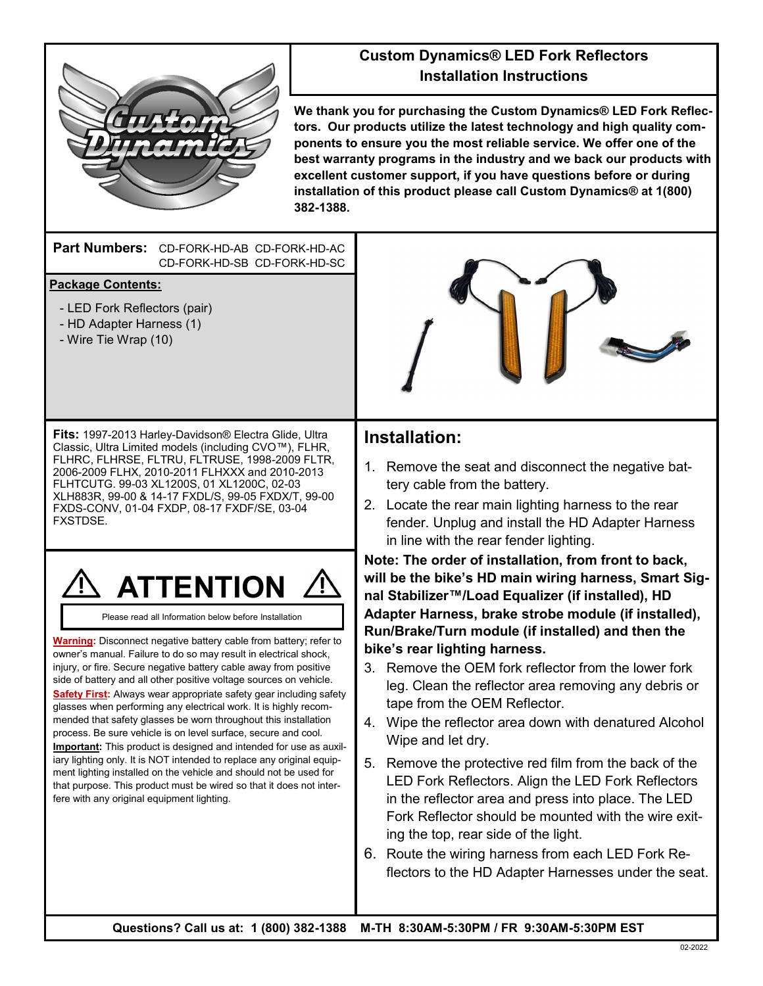

### **Custom Dynamics® LED Fork Reflectors Installation Instructions**

**We thank you for purchasing the Custom Dynamics® LED Fork Reflectors. Our products utilize the latest technology and high quality components to ensure you the most reliable service. We offer one of the best warranty programs in the industry and we back our products with excellent customer support, if you have questions before or during installation of this product please call Custom Dynamics® at 1(800) 382-1388.**

#### **Part Numbers:**  CD-FORK-HD-AB CD-FORK-HD-AC CD-FORK-HD-SB CD-FORK-HD-SC

### **Package Contents:**

- LED Fork Reflectors (pair)
- HD Adapter Harness (1)
- Wire Tie Wrap (10)

**Fits:** 1997-2013 Harley-Davidson® Electra Glide, Ultra Classic, Ultra Limited models (including CVO™), FLHR, FLHRC, FLHRSE, FLTRU, FLTRUSE, 1998-2009 FLTR, 2006-2009 FLHX, 2010-2011 FLHXXX and 2010-2013 FLHTCUTG. 99-03 XL1200S, 01 XL1200C, 02-03 XLH883R, 99-00 & 14-17 FXDL/S, 99-05 FXDX/T, 99-00 FXDS-CONV, 01-04 FXDP, 08-17 FXDF/SE, 03-04 FXSTDSE.



Please read all Information below before Installation

**Warning:** Disconnect negative battery cable from battery; refer to owner's manual. Failure to do so may result in electrical shock, injury, or fire. Secure negative battery cable away from positive side of battery and all other positive voltage sources on vehicle. **Safety First:** Always wear appropriate safety gear including safety glasses when performing any electrical work. It is highly recommended that safety glasses be worn throughout this installation process. Be sure vehicle is on level surface, secure and cool. **Important:** This product is designed and intended for use as auxiliary lighting only. It is NOT intended to replace any original equipment lighting installed on the vehicle and should not be used for that purpose. This product must be wired so that it does not interfere with any original equipment lighting.

## **Installation:**

- 1. Remove the seat and disconnect the negative battery cable from the battery.
- 2. Locate the rear main lighting harness to the rear fender. Unplug and install the HD Adapter Harness in line with the rear fender lighting.

**Note: The order of installation, from front to back, will be the bike's HD main wiring harness, Smart Signal Stabilizer™/Load Equalizer (if installed), HD Adapter Harness, brake strobe module (if installed), Run/Brake/Turn module (if installed) and then the bike's rear lighting harness.** 

- 3. Remove the OEM fork reflector from the lower fork leg. Clean the reflector area removing any debris or tape from the OEM Reflector.
- 4. Wipe the reflector area down with denatured Alcohol Wipe and let dry.
- 5. Remove the protective red film from the back of the LED Fork Reflectors. Align the LED Fork Reflectors in the reflector area and press into place. The LED Fork Reflector should be mounted with the wire exiting the top, rear side of the light.
- 6. Route the wiring harness from each LED Fork Reflectors to the HD Adapter Harnesses under the seat.

**Questions? Call us at: 1 (800) 382-1388 M-TH 8:30AM-5:30PM / FR 9:30AM-5:30PM EST**